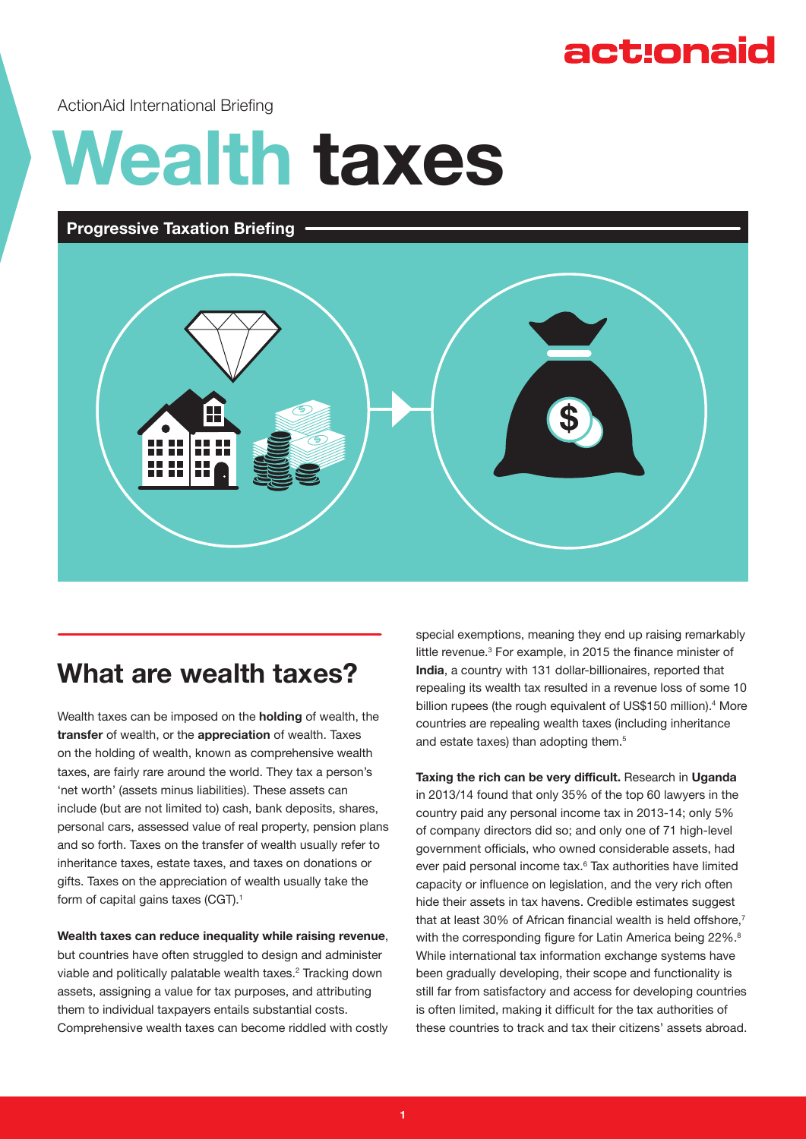## act:onaid

ActionAid International Briefing

# **Wealth taxes**

#### **Progressive Taxation Briefing**



## **What are wealth taxes?**

Wealth taxes can be imposed on the **holding** of wealth, the **transfer** of wealth, or the **appreciation** of wealth. Taxes on the holding of wealth, known as comprehensive wealth taxes, are fairly rare around the world. They tax a person's 'net worth' (assets minus liabilities). These assets can include (but are not limited to) cash, bank deposits, shares, personal cars, assessed value of real property, pension plans and so forth. Taxes on the transfer of wealth usually refer to inheritance taxes, estate taxes, and taxes on donations or gifts. Taxes on the appreciation of wealth usually take the form of capital gains taxes (CGT).<sup>1</sup>

#### **Wealth taxes can reduce inequality while raising revenue**,

but countries have often struggled to design and administer viable and politically palatable wealth taxes.<sup>2</sup> Tracking down assets, assigning a value for tax purposes, and attributing them to individual taxpayers entails substantial costs. Comprehensive wealth taxes can become riddled with costly special exemptions, meaning they end up raising remarkably little revenue.<sup>3</sup> For example, in 2015 the finance minister of **India**, a country with 131 dollar-billionaires, reported that repealing its wealth tax resulted in a revenue loss of some 10 billion rupees (the rough equivalent of US\$150 million).<sup>4</sup> More countries are repealing wealth taxes (including inheritance and estate taxes) than adopting them.<sup>5</sup>

**Taxing the rich can be very difficult.** Research in **Uganda**  in 2013/14 found that only 35% of the top 60 lawyers in the country paid any personal income tax in 2013-14; only 5% of company directors did so; and only one of 71 high-level government officials, who owned considerable assets, had ever paid personal income tax.6 Tax authorities have limited capacity or influence on legislation, and the very rich often hide their assets in tax havens. Credible estimates suggest that at least 30% of African financial wealth is held offshore, $7$ with the corresponding figure for Latin America being 22%.<sup>8</sup> While international tax information exchange systems have been gradually developing, their scope and functionality is still far from satisfactory and access for developing countries is often limited, making it difficult for the tax authorities of these countries to track and tax their citizens' assets abroad.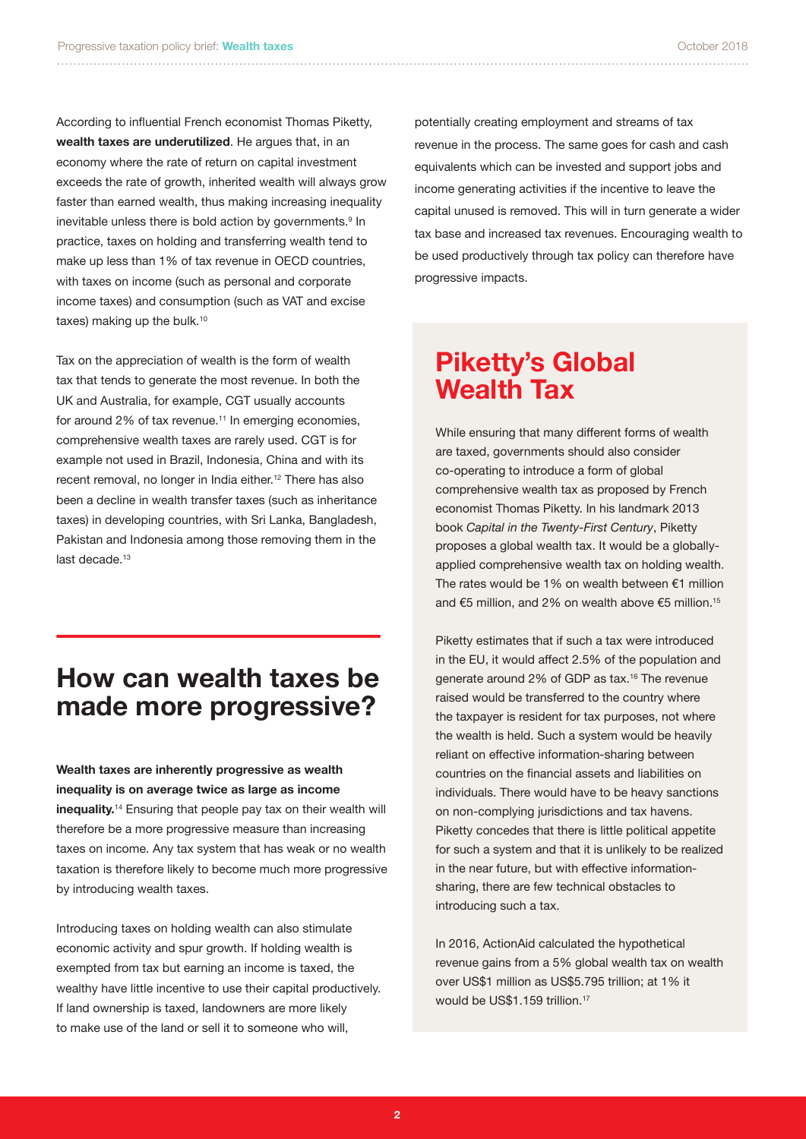According to influential French economist Thomas Piketty, **wealth taxes are underutilized**. He argues that, in an economy where the rate of return on capital investment exceeds the rate of growth, inherited wealth will always grow faster than earned wealth, thus making increasing inequality inevitable unless there is bold action by governments.<sup>9</sup> In practice, taxes on holding and transferring wealth tend to make up less than 1% of tax revenue in OECD countries, with taxes on income (such as personal and corporate income taxes) and consumption (such as VAT and excise taxes) making up the bulk.<sup>10</sup>

Tax on the appreciation of wealth is the form of wealth tax that tends to generate the most revenue. In both the UK and Australia, for example, CGT usually accounts for around 2% of tax revenue.<sup>11</sup> In emerging economies, comprehensive wealth taxes are rarely used. CGT is for example not used in Brazil, Indonesia, China and with its recent removal, no longer in India either.<sup>12</sup> There has also been a decline in wealth transfer taxes (such as inheritance taxes) in developing countries, with Sri Lanka, Bangladesh, Pakistan and Indonesia among those removing them in the last decade.13

### **How can wealth taxes be made more progressive?**

**Wealth taxes are inherently progressive as wealth inequality is on average twice as large as income inequality.**14 Ensuring that people pay tax on their wealth will therefore be a more progressive measure than increasing taxes on income. Any tax system that has weak or no wealth taxation is therefore likely to become much more progressive by introducing wealth taxes.

Introducing taxes on holding wealth can also stimulate economic activity and spur growth. If holding wealth is exempted from tax but earning an income is taxed, the wealthy have little incentive to use their capital productively. If land ownership is taxed, landowners are more likely to make use of the land or sell it to someone who will,

potentially creating employment and streams of tax revenue in the process. The same goes for cash and cash equivalents which can be invested and support jobs and income generating activities if the incentive to leave the capital unused is removed. This will in turn generate a wider tax base and increased tax revenues. Encouraging wealth to be used productively through tax policy can therefore have progressive impacts.

## **Piketty's Global Wealth Tax**

While ensuring that many different forms of wealth are taxed, governments should also consider co-operating to introduce a form of global comprehensive wealth tax as proposed by French economist Thomas Piketty. In his landmark 2013 book *Capital in the Twenty-First Century*, Piketty proposes a global wealth tax. It would be a globallyapplied comprehensive wealth tax on holding wealth. The rates would be 1% on wealth between €1 million and €5 million, and 2% on wealth above €5 million.15

Piketty estimates that if such a tax were introduced in the EU, it would affect 2.5% of the population and generate around 2% of GDP as tax.16 The revenue raised would be transferred to the country where the taxpayer is resident for tax purposes, not where the wealth is held. Such a system would be heavily reliant on effective information-sharing between countries on the financial assets and liabilities on individuals. There would have to be heavy sanctions on non-complying jurisdictions and tax havens. Piketty concedes that there is little political appetite for such a system and that it is unlikely to be realized in the near future, but with effective informationsharing, there are few technical obstacles to introducing such a tax.

In 2016, ActionAid calculated the hypothetical revenue gains from a 5% global wealth tax on wealth over US\$1 million as US\$5.795 trillion; at 1% it would be US\$1.159 trillion.<sup>17</sup>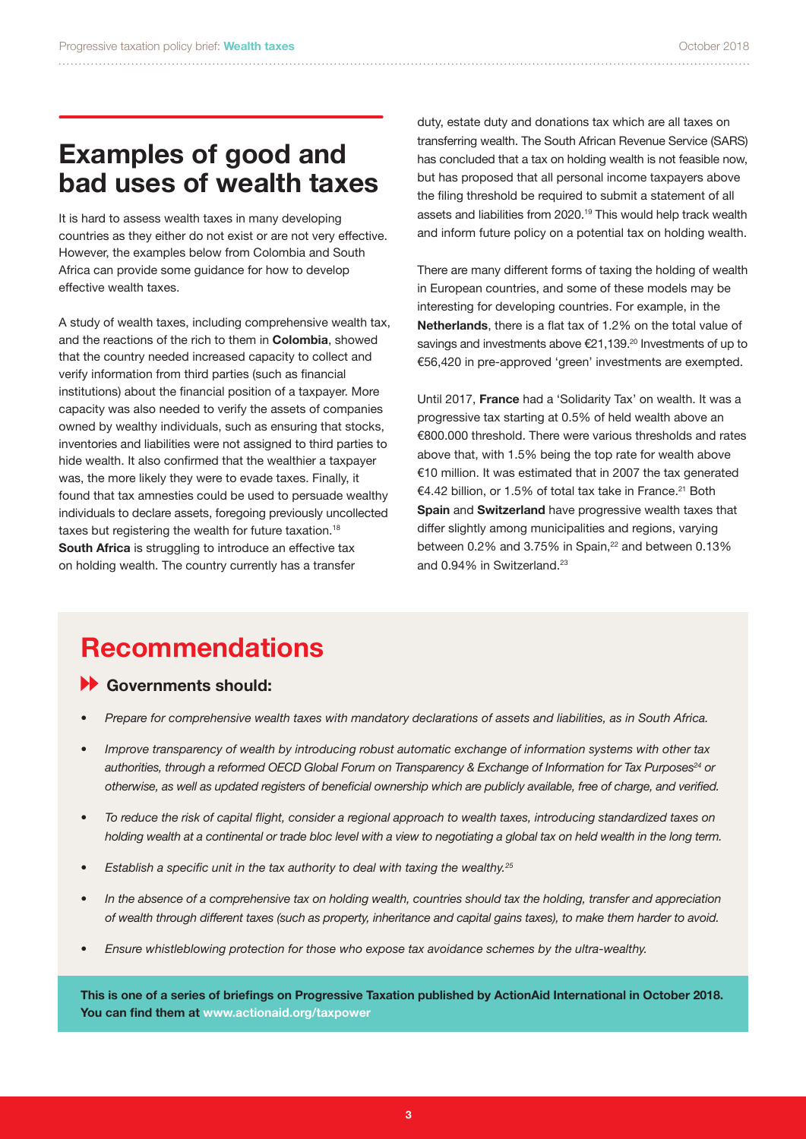## **Examples of good and bad uses of wealth taxes**

It is hard to assess wealth taxes in many developing countries as they either do not exist or are not very effective. However, the examples below from Colombia and South Africa can provide some guidance for how to develop effective wealth taxes.

A study of wealth taxes, including comprehensive wealth tax, and the reactions of the rich to them in **Colombia**, showed that the country needed increased capacity to collect and verify information from third parties (such as financial institutions) about the financial position of a taxpayer. More capacity was also needed to verify the assets of companies owned by wealthy individuals, such as ensuring that stocks, inventories and liabilities were not assigned to third parties to hide wealth. It also confirmed that the wealthier a taxpayer was, the more likely they were to evade taxes. Finally, it found that tax amnesties could be used to persuade wealthy individuals to declare assets, foregoing previously uncollected taxes but registering the wealth for future taxation.<sup>18</sup> **South Africa** is struggling to introduce an effective tax on holding wealth. The country currently has a transfer

duty, estate duty and donations tax which are all taxes on transferring wealth. The South African Revenue Service (SARS) has concluded that a tax on holding wealth is not feasible now, but has proposed that all personal income taxpayers above the filing threshold be required to submit a statement of all assets and liabilities from 2020.19 This would help track wealth and inform future policy on a potential tax on holding wealth.

There are many different forms of taxing the holding of wealth in European countries, and some of these models may be interesting for developing countries. For example, in the **Netherlands**, there is a flat tax of 1.2% on the total value of savings and investments above €21,139.<sup>20</sup> Investments of up to €56,420 in pre-approved 'green' investments are exempted.

Until 2017, **France** had a 'Solidarity Tax' on wealth. It was a progressive tax starting at 0.5% of held wealth above an €800.000 threshold. There were various thresholds and rates above that, with 1.5% being the top rate for wealth above €10 million. It was estimated that in 2007 the tax generated €4.42 billion, or 1.5% of total tax take in France.21 Both **Spain** and **Switzerland** have progressive wealth taxes that differ slightly among municipalities and regions, varying between 0.2% and 3.75% in Spain,<sup>22</sup> and between 0.13% and 0.94% in Switzerland.<sup>23</sup>

## **Recommendations**

#### **Governments should:**

- *• Prepare for comprehensive wealth taxes with mandatory declarations of assets and liabilities, as in South Africa.*
- *• Improve transparency of wealth by introducing robust automatic exchange of information systems with other tax* authorities, through a reformed OECD Global Forum on Transparency & Exchange of Information for Tax Purposes<sup>24</sup> or *otherwise, as well as updated registers of beneficial ownership which are publicly available, free of charge, and verified.*
- *• To reduce the risk of capital flight, consider a regional approach to wealth taxes, introducing standardized taxes on holding wealth at a continental or trade bloc level with a view to negotiating a global tax on held wealth in the long term.*
- *• Establish a specific unit in the tax authority to deal with taxing the wealthy.<sup>25</sup>*
- In the absence of a comprehensive tax on holding wealth, countries should tax the holding, transfer and appreciation *of wealth through different taxes (such as property, inheritance and capital gains taxes), to make them harder to avoid.*
- *• Ensure whistleblowing protection for those who expose tax avoidance schemes by the ultra-wealthy.*

**This is one of a series of briefings on Progressive Taxation published by ActionAid International in October 2018. You can find them at www.actionaid.org/taxpower**